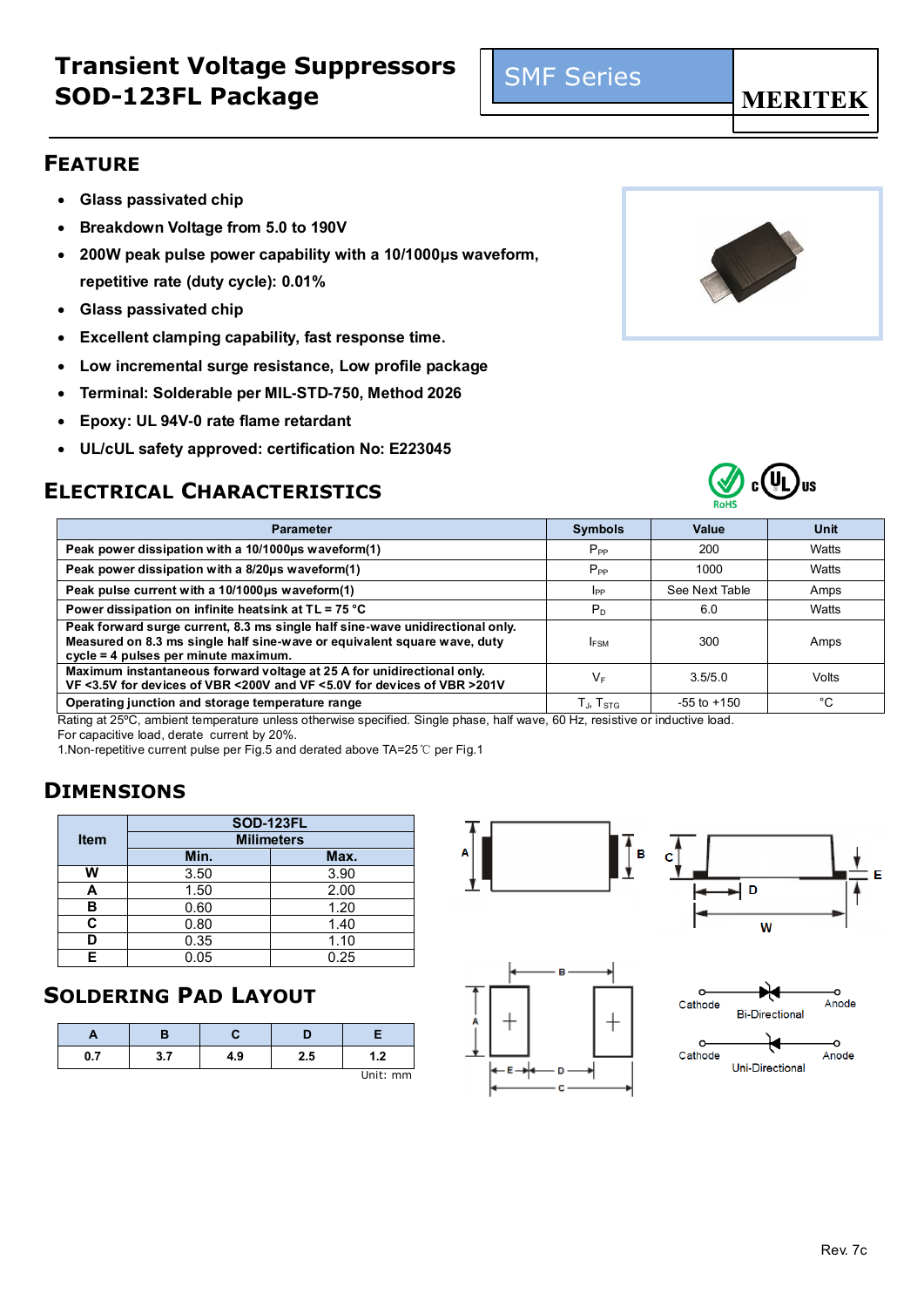E

## **Transient Voltage Suppressors SOD-123FL Package**

## **FEATURE**

- **Glass passivated chip**
- **Breakdown Voltage from 5.0 to 190V**
- **200W peak pulse power capability with a 10/1000μs waveform, repetitive rate (duty cycle): 0.01%**
- **Glass passivated chip**
- **Excellent clamping capability, fast response time.**
- **Low incremental surge resistance, Low profile package**
- **Terminal: Solderable per MIL-STD-750, Method 2026**
- **Epoxy: UL 94V-0 rate flame retardant**
- **UL/cUL safety approved: certification No: E223045**

## **ELECTRICAL CHARACTERISTICS**

| <b>Parameter</b>                                                                                                                                                                                  | <b>Symbols</b>              | Value           | Unit  |
|---------------------------------------------------------------------------------------------------------------------------------------------------------------------------------------------------|-----------------------------|-----------------|-------|
| Peak power dissipation with a 10/1000us waveform(1)                                                                                                                                               | $P_{PP}$                    | 200             | Watts |
| Peak power dissipation with a 8/20us waveform(1)                                                                                                                                                  | $P_{PP}$                    | 1000            | Watts |
| Peak pulse current with a 10/1000us waveform(1)                                                                                                                                                   | IPP                         | See Next Table  | Amps  |
| Power dissipation on infinite heatsink at $TL = 75 °C$                                                                                                                                            | $P_D$                       | 6.0             | Watts |
| Peak forward surge current, 8.3 ms single half sine-wave unidirectional only.<br>Measured on 8.3 ms single half sine-wave or equivalent square wave, duty<br>cycle = 4 pulses per minute maximum. | <b>IFSM</b>                 | 300             | Amps  |
| Maximum instantaneous forward voltage at 25 A for unidirectional only.<br>VF <3.5V for devices of VBR <200V and VF <5.0V for devices of VBR >201V                                                 | V⊧                          | 3.5/5.0         | Volts |
| Operating junction and storage temperature range                                                                                                                                                  | $T_{\rm J}$ , $T_{\rm STG}$ | $-55$ to $+150$ | °C    |

Rating at 25ºC, ambient temperature unless otherwise specified. Single phase, half wave, 60 Hz, resistive or inductive load. For capacitive load, derate current by 20%.

1.Non-repetitive current pulse per Fig.5 and derated above TA=25℃ per Fig.1

## **DIMENSIONS**

|             | <b>SOD-123FL</b>  |      |  |  |  |
|-------------|-------------------|------|--|--|--|
| <b>Item</b> | <b>Milimeters</b> |      |  |  |  |
|             | Min.              | Max. |  |  |  |
| w           | 3.50              | 3.90 |  |  |  |
| А           | 1.50              | 2.00 |  |  |  |
| в           | 0.60              | 1.20 |  |  |  |
| C           | 0.80              | 1.40 |  |  |  |
|             | 0.35              | 1.10 |  |  |  |
| F           | 0.05              | 0.25 |  |  |  |

## **SOLDERING PAD LAYOUT**

| 0.7 | 3.7 | 4.9 | 2.5 | ່າ       |
|-----|-----|-----|-----|----------|
|     |     |     |     | Unit: mm |











#### SMF Series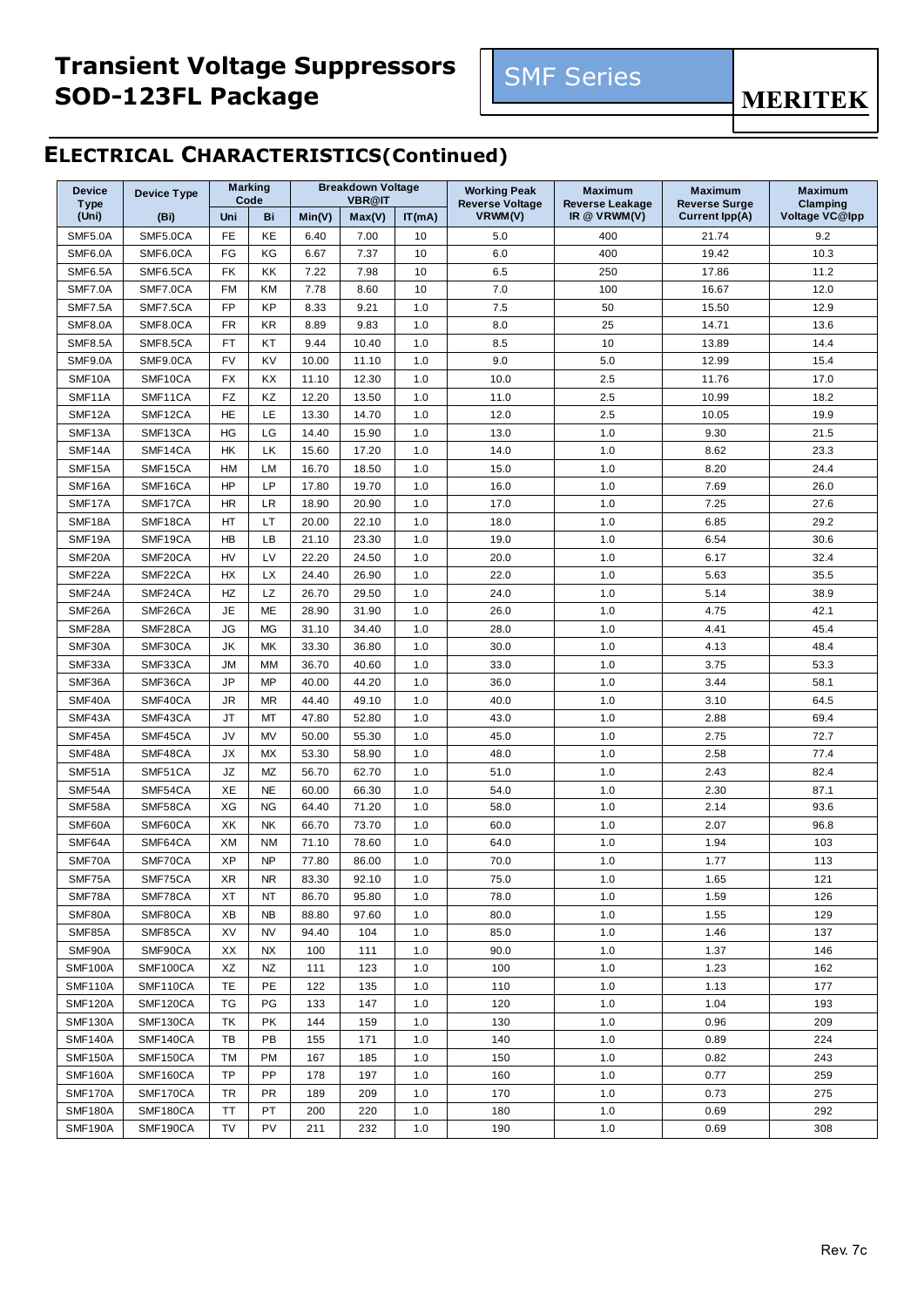# **Transient Voltage Suppressors SOD-123FL Package**

**MERITEK** 

# **ELECTRICAL CHARACTERISTICS(Continued)**

| <b>Device</b>        | <b>Device Type</b> |           | <b>Marking</b><br>Code |        | <b>Breakdown Voltage</b><br><b>VBR@IT</b> |        | <b>Working Peak</b>               | <b>Maximum</b>                           | <b>Maximum</b>                                | <b>Maximum</b>             |
|----------------------|--------------------|-----------|------------------------|--------|-------------------------------------------|--------|-----------------------------------|------------------------------------------|-----------------------------------------------|----------------------------|
| <b>Type</b><br>(Uni) | (Bi)               | Uni       | Bi                     | Min(V) | Max(V)                                    | IT(mA) | <b>Reverse Voltage</b><br>VRWM(V) | <b>Reverse Leakage</b><br>IR $@$ VRWM(V) | <b>Reverse Surge</b><br><b>Current Ipp(A)</b> | Clamping<br>Voltage VC@lpp |
| <b>SMF5.0A</b>       | SMF5.0CA           | FE        | KE                     | 6.40   | 7.00                                      | 10     | 5.0                               | 400                                      | 21.74                                         | 9.2                        |
| SMF6.0A              | SMF6.0CA           | FG        | KG                     | 6.67   | 7.37                                      | 10     | 6.0                               | 400                                      | 19.42                                         | 10.3                       |
| SMF6.5A              | SMF6.5CA           | FK        | KK                     | 7.22   | 7.98                                      | 10     | 6.5                               | 250                                      | 17.86                                         | 11.2                       |
| <b>SMF7.0A</b>       | SMF7.0CA           | FM        | KM                     | 7.78   | 8.60                                      | 10     | 7.0                               | 100                                      | 16.67                                         | 12.0                       |
| <b>SMF7.5A</b>       | SMF7.5CA           | FP        | KP                     | 8.33   | 9.21                                      | 1.0    | 7.5                               | 50                                       | 15.50                                         | 12.9                       |
| <b>SMF8.0A</b>       | SMF8.0CA           | FR        | KR                     | 8.89   | 9.83                                      | 1.0    | 8.0                               | 25                                       | 14.71                                         | 13.6                       |
| <b>SMF8.5A</b>       | SMF8.5CA           | FT        | KT                     | 9.44   | 10.40                                     | 1.0    | 8.5                               | 10                                       | 13.89                                         | 14.4                       |
| SMF9.0A              | SMF9.0CA           | <b>FV</b> | KV                     | 10.00  | 11.10                                     | 1.0    | 9.0                               | 5.0                                      | 12.99                                         | 15.4                       |
| SMF10A               | SMF10CA            | FX        | KX                     | 11.10  | 12.30                                     | 1.0    | 10.0                              | 2.5                                      | 11.76                                         | 17.0                       |
| SMF11A               | SMF11CA            | FZ        | KZ                     | 12.20  | 13.50                                     | 1.0    | 11.0                              | 2.5                                      | 10.99                                         | 18.2                       |
| SMF12A               | SMF12CA            | HE        | LE                     | 13.30  | 14.70                                     | 1.0    | 12.0                              | 2.5                                      | 10.05                                         | 19.9                       |
| SMF13A               | SMF13CA            | HG        | LG                     | 14.40  | 15.90                                     | 1.0    | 13.0                              | 1.0                                      | 9.30                                          | 21.5                       |
| SMF14A               | SMF14CA            | HK        | LK                     | 15.60  | 17.20                                     | 1.0    | 14.0                              | 1.0                                      | 8.62                                          | 23.3                       |
| SMF15A               | SMF15CA            | HM        | LM                     | 16.70  | 18.50                                     | 1.0    | 15.0                              | 1.0                                      | 8.20                                          | 24.4                       |
| SMF16A               | SMF16CA            | HP        | <b>LP</b>              | 17.80  | 19.70                                     | 1.0    | 16.0                              | 1.0                                      | 7.69                                          | 26.0                       |
| SMF17A               | SMF17CA            | <b>HR</b> | LR                     | 18.90  | 20.90                                     | 1.0    | 17.0                              | 1.0                                      | 7.25                                          | 27.6                       |
| SMF18A               | SMF18CA            | HT        | LT                     | 20.00  | 22.10                                     | 1.0    | 18.0                              | 1.0                                      | 6.85                                          | 29.2                       |
| SMF19A               | SMF19CA            | HB        | LB                     | 21.10  | 23.30                                     | 1.0    | 19.0                              | 1.0                                      | 6.54                                          | 30.6                       |
| SMF20A               | SMF20CA            | HV        | LV                     | 22.20  | 24.50                                     | 1.0    | 20.0                              | 1.0                                      | 6.17                                          | 32.4                       |
| SMF22A               | SMF22CA            | HX        | <b>LX</b>              | 24.40  | 26.90                                     | 1.0    | 22.0                              | 1.0                                      | 5.63                                          | 35.5                       |
| SMF24A               | SMF24CA            | HZ        | LZ                     | 26.70  | 29.50                                     | 1.0    | 24.0                              | 1.0                                      | 5.14                                          | 38.9                       |
| SMF26A               | SMF26CA            | <b>JE</b> | ME                     | 28.90  | 31.90                                     | 1.0    | 26.0                              | 1.0                                      | 4.75                                          | 42.1                       |
| SMF28A               | SMF28CA            | JG        | МG                     | 31.10  | 34.40                                     | 1.0    | 28.0                              | 1.0                                      | 4.41                                          | 45.4                       |
| SMF30A               | SMF30CA            | JK        | МK                     | 33.30  | 36.80                                     | 1.0    | 30.0                              | 1.0                                      | 4.13                                          | 48.4                       |
| SMF33A               | SMF33CA            | JМ        | МM                     | 36.70  | 40.60                                     | 1.0    | 33.0                              | 1.0                                      | 3.75                                          | 53.3                       |
| SMF36A               | SMF36CA            | JP        | MP                     | 40.00  | 44.20                                     | 1.0    | 36.0                              | 1.0                                      | 3.44                                          | 58.1                       |
| SMF40A               | SMF40CA            | <b>JR</b> | <b>MR</b>              | 44.40  | 49.10                                     | 1.0    | 40.0                              | 1.0                                      | 3.10                                          | 64.5                       |
| SMF43A               | SMF43CA            | JT        | MT                     | 47.80  | 52.80                                     | 1.0    | 43.0                              | 1.0                                      | 2.88                                          | 69.4                       |
| SMF45A               | SMF45CA            | JV        | <b>MV</b>              | 50.00  | 55.30                                     | 1.0    | 45.0                              | 1.0                                      | 2.75                                          | 72.7                       |
| SMF48A               | SMF48CA            | JХ        | МX                     | 53.30  | 58.90                                     | 1.0    | 48.0                              | 1.0                                      | 2.58                                          | 77.4                       |
| SMF51A               | SMF51CA            | JZ        | MZ                     | 56.70  | 62.70                                     | 1.0    | 51.0                              | 1.0                                      | 2.43                                          | 82.4                       |
| SMF54A               | SMF54CA            | XE        | <b>NE</b>              | 60.00  | 66.30                                     | 1.0    | 54.0                              | 1.0                                      | 2.30                                          | 87.1                       |
| SMF58A               | SMF58CA            | XG        | <b>NG</b>              | 64.40  | 71.20                                     | 1.0    | 58.0                              | 1.0                                      | 2.14                                          | 93.6                       |
| SMF60A               | SMF60CA            | XK        | NK                     | 66.70  | 73.70                                     | 1.0    | 60.0                              | 1.0                                      | 2.07                                          | 96.8                       |
| SMF64A               | SMF64CA            | XM        | <b>NM</b>              | 71.10  | 78.60                                     | 1.0    | 64.0                              | 1.0                                      | 1.94                                          | 103                        |
| SMF70A               | SMF70CA            | XP        | <b>NP</b>              | 77.80  | 86.00                                     | 1.0    | 70.0                              | 1.0                                      | 1.77                                          | 113                        |
| SMF75A               | SMF75CA            | XR        | NR.                    | 83.30  | 92.10                                     | 1.0    | 75.0                              | 1.0                                      | 1.65                                          | 121                        |
| SMF78A               | SMF78CA            | ХT        | NT                     | 86.70  | 95.80                                     | 1.0    | 78.0                              | 1.0                                      | 1.59                                          | 126                        |
| SMF80A               | SMF80CA            | XB        | <b>NB</b>              | 88.80  | 97.60                                     | 1.0    | 80.0                              | 1.0                                      | 1.55                                          | 129                        |
| SMF85A               | SMF85CA            | XV        | <b>NV</b>              | 94.40  | 104                                       | 1.0    | 85.0                              | 1.0                                      | 1.46                                          | 137                        |
| SMF90A               | SMF90CA            | XX        | NX                     | 100    | 111                                       | 1.0    | 90.0                              | 1.0                                      | 1.37                                          | 146                        |
| <b>SMF100A</b>       | SMF100CA           | XZ        | NZ                     | 111    | 123                                       | 1.0    | 100                               | 1.0                                      | 1.23                                          | 162                        |
| <b>SMF110A</b>       | SMF110CA           | TE        | PE                     | 122    | 135                                       | 1.0    | 110                               | 1.0                                      | 1.13                                          | 177                        |
| <b>SMF120A</b>       | SMF120CA           | ТG        | PG                     |        |                                           |        |                                   |                                          |                                               |                            |
| <b>SMF130A</b>       |                    |           |                        | 133    | 147                                       | 1.0    | 120                               | 1.0                                      | 1.04                                          | 193                        |
|                      | SMF130CA           | ТK        | PK                     | 144    | 159                                       | 1.0    | 130                               | 1.0                                      | 0.96                                          | 209                        |
| <b>SMF140A</b>       | SMF140CA           | TB        | PB                     | 155    | 171                                       | 1.0    | 140                               | 1.0                                      | 0.89                                          | 224                        |
| <b>SMF150A</b>       | SMF150CA           | ТM        | PM                     | 167    | 185                                       | 1.0    | 150                               | 1.0                                      | 0.82                                          | 243                        |
| SMF160A              | SMF160CA           | TP        | PP                     | 178    | 197                                       | 1.0    | 160                               | 1.0                                      | 0.77                                          | 259                        |
| SMF170A              | SMF170CA           | TR        | PR                     | 189    | 209                                       | 1.0    | 170                               | 1.0                                      | 0.73                                          | 275                        |
| <b>SMF180A</b>       | SMF180CA           | ТT        | PT                     | 200    | 220                                       | 1.0    | 180                               | 1.0                                      | 0.69                                          | 292                        |
| <b>SMF190A</b>       | SMF190CA           | TV        | PV                     | 211    | 232                                       | 1.0    | 190                               | 1.0                                      | 0.69                                          | 308                        |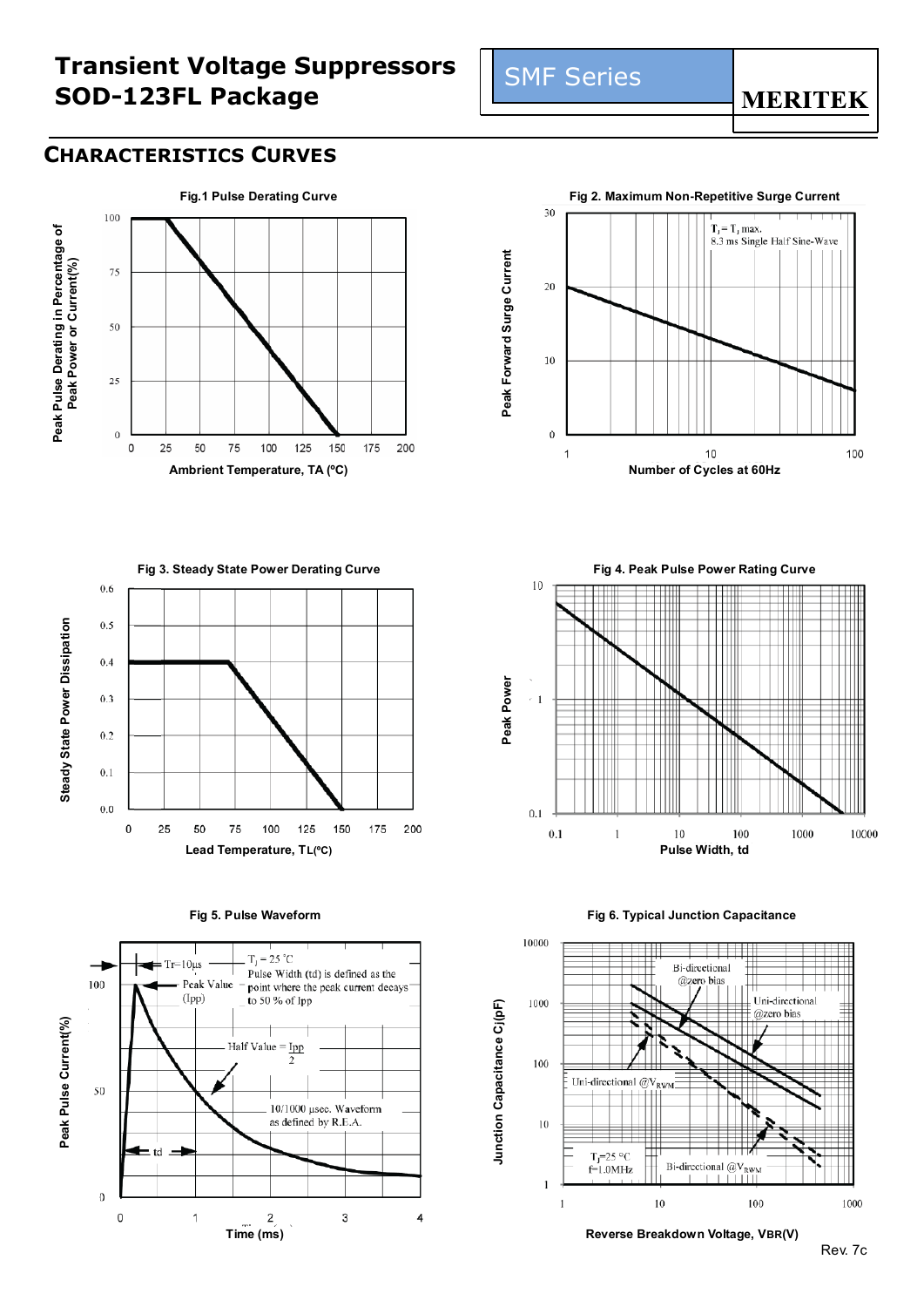# **Transient Voltage Suppressors SOD-123FL Package**

#### **CHARACTERISTICS CURVES**



**Fig.1 Pulse Derating Curve Fig.2. Maximum Non-Repetitive Surge Current**<br>
<sup>30</sup>  $T_J = T_J$  max. 8.3 ms Single Half Sine-Wave Peak Forward Surge Current **Peak Forward Surge Current** 20 10  $\bf{0}$  $10$ 100 1

 $0.6$  $0.5$  $0.4$  $0.3$  $0.2$  $0.1$  $0.0\,$  $\pmb{0}$ 25 50 150 175 200 75 100 125

**Steady State Power Dissipation**

Steady State Power Dissipation





**Fig 5. Pulse Waveform Fig 6. Typical Junction Capacitance**